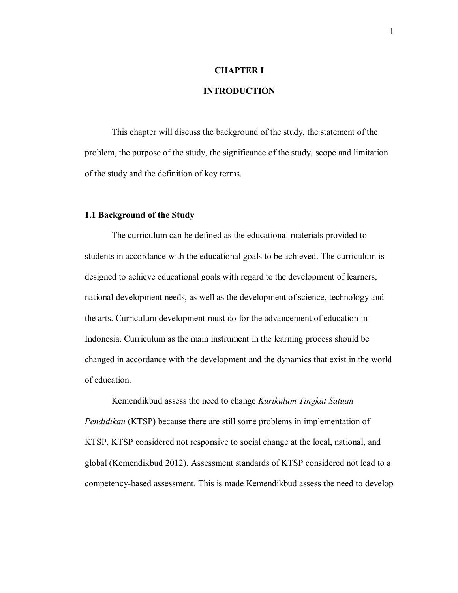# **CHAPTER I**

## **INTRODUCTION**

This chapter will discuss the background of the study, the statement of the problem, the purpose of the study, the significance of the study, scope and limitation of the study and the definition of key terms.

### **1.1 Background of the Study**

The curriculum can be defined as the educational materials provided to students in accordance with the educational goals to be achieved. The curriculum is designed to achieve educational goals with regard to the development of learners, national development needs, as well as the development of science, technology and the arts. Curriculum development must do for the advancement of education in Indonesia. Curriculum as the main instrument in the learning process should be changed in accordance with the development and the dynamics that exist in the world of education.

Kemendikbud assess the need to change *Kurikulum Tingkat Satuan Pendidikan* (KTSP) because there are still some problems in implementation of KTSP. KTSP considered not responsive to social change at the local, national, and global (Kemendikbud 2012). Assessment standards of KTSP considered not lead to a competency-based assessment. This is made Kemendikbud assess the need to develop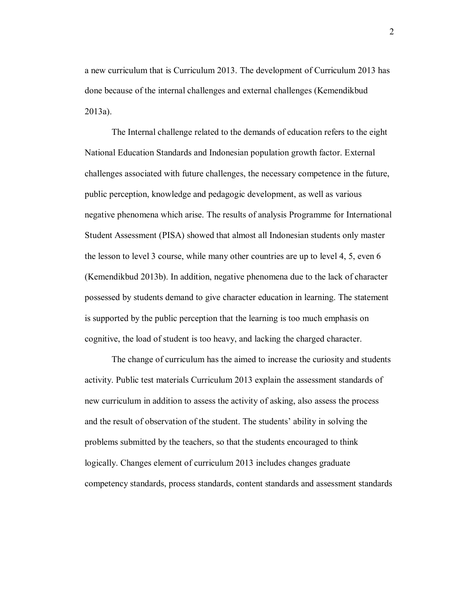a new curriculum that is Curriculum 2013. The development of Curriculum 2013 has done because of the internal challenges and external challenges (Kemendikbud 2013a).

The Internal challenge related to the demands of education refers to the eight National Education Standards and Indonesian population growth factor. External challenges associated with future challenges, the necessary competence in the future, public perception, knowledge and pedagogic development, as well as various negative phenomena which arise. The results of analysis Programme for International Student Assessment (PISA) showed that almost all Indonesian students only master the lesson to level 3 course, while many other countries are up to level 4, 5, even 6 (Kemendikbud 2013b). In addition, negative phenomena due to the lack of character possessed by students demand to give character education in learning. The statement is supported by the public perception that the learning is too much emphasis on cognitive, the load of student is too heavy, and lacking the charged character.

The change of curriculum has the aimed to increase the curiosity and students activity. Public test materials Curriculum 2013 explain the assessment standards of new curriculum in addition to assess the activity of asking, also assess the process and the result of observation of the student. The students' ability in solving the problems submitted by the teachers, so that the students encouraged to think logically. Changes element of curriculum 2013 includes changes graduate competency standards, process standards, content standards and assessment standards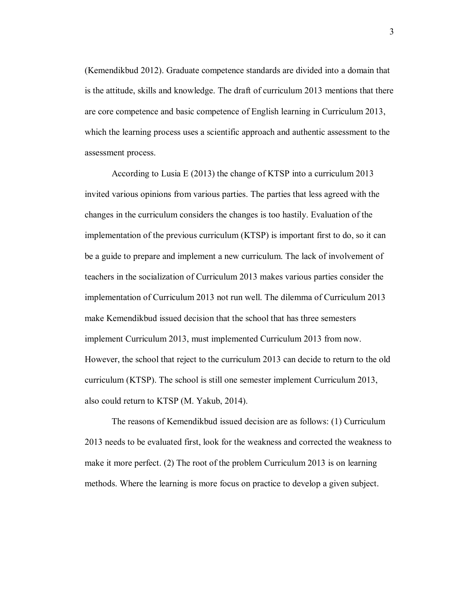(Kemendikbud 2012). Graduate competence standards are divided into a domain that is the attitude, skills and knowledge. The draft of curriculum 2013 mentions that there are core competence and basic competence of English learning in Curriculum 2013, which the learning process uses a scientific approach and authentic assessment to the assessment process.

According to Lusia E (2013) the change of KTSP into a curriculum 2013 invited various opinions from various parties. The parties that less agreed with the changes in the curriculum considers the changes is too hastily. Evaluation of the implementation of the previous curriculum (KTSP) is important first to do, so it can be a guide to prepare and implement a new curriculum. The lack of involvement of teachers in the socialization of Curriculum 2013 makes various parties consider the implementation of Curriculum 2013 not run well. The dilemma of Curriculum 2013 make Kemendikbud issued decision that the school that has three semesters implement Curriculum 2013, must implemented Curriculum 2013 from now. However, the school that reject to the curriculum 2013 can decide to return to the old curriculum (KTSP). The school is still one semester implement Curriculum 2013, also could return to KTSP (M. Yakub, 2014).

The reasons of Kemendikbud issued decision are as follows: (1) Curriculum 2013 needs to be evaluated first, look for the weakness and corrected the weakness to make it more perfect. (2) The root of the problem Curriculum 2013 is on learning methods. Where the learning is more focus on practice to develop a given subject.

3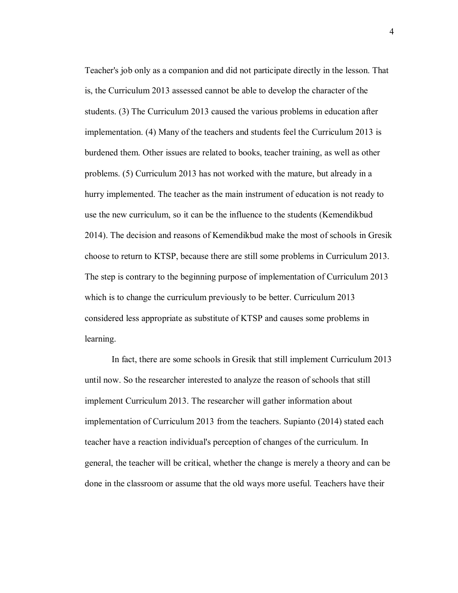Teacher's job only as a companion and did not participate directly in the lesson. That is, the Curriculum 2013 assessed cannot be able to develop the character of the students. (3) The Curriculum 2013 caused the various problems in education after implementation. (4) Many of the teachers and students feel the Curriculum 2013 is burdened them. Other issues are related to books, teacher training, as well as other problems. (5) Curriculum 2013 has not worked with the mature, but already in a hurry implemented. The teacher as the main instrument of education is not ready to use the new curriculum, so it can be the influence to the students (Kemendikbud 2014). The decision and reasons of Kemendikbud make the most of schools in Gresik choose to return to KTSP, because there are still some problems in Curriculum 2013. The step is contrary to the beginning purpose of implementation of Curriculum 2013 which is to change the curriculum previously to be better. Curriculum 2013 considered less appropriate as substitute of KTSP and causes some problems in learning.

In fact, there are some schools in Gresik that still implement Curriculum 2013 until now. So the researcher interested to analyze the reason of schools that still implement Curriculum 2013. The researcher will gather information about implementation of Curriculum 2013 from the teachers. Supianto (2014) stated each teacher have a reaction individual's perception of changes of the curriculum. In general, the teacher will be critical, whether the change is merely a theory and can be done in the classroom or assume that the old ways more useful. Teachers have their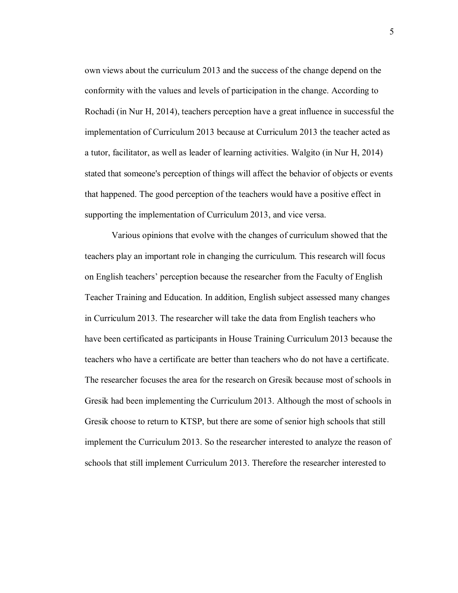own views about the curriculum 2013 and the success of the change depend on the conformity with the values and levels of participation in the change. According to Rochadi (in Nur H, 2014), teachers perception have a great influence in successful the implementation of Curriculum 2013 because at Curriculum 2013 the teacher acted as a tutor, facilitator, as well as leader of learning activities. Walgito (in Nur H, 2014) stated that someone's perception of things will affect the behavior of objects or events that happened. The good perception of the teachers would have a positive effect in supporting the implementation of Curriculum 2013, and vice versa.

Various opinions that evolve with the changes of curriculum showed that the teachers play an important role in changing the curriculum. This research will focus on English teachers' perception because the researcher from the Faculty of English Teacher Training and Education. In addition, English subject assessed many changes in Curriculum 2013. The researcher will take the data from English teachers who have been certificated as participants in House Training Curriculum 2013 because the teachers who have a certificate are better than teachers who do not have a certificate. The researcher focuses the area for the research on Gresik because most of schools in Gresik had been implementing the Curriculum 2013. Although the most of schools in Gresik choose to return to KTSP, but there are some of senior high schools that still implement the Curriculum 2013. So the researcher interested to analyze the reason of schools that still implement Curriculum 2013. Therefore the researcher interested to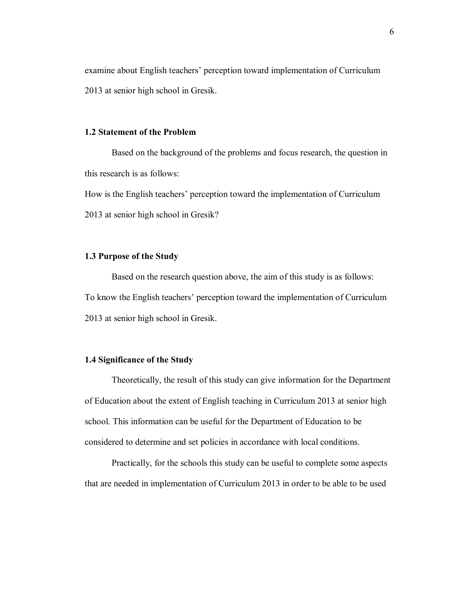examine about English teachers' perception toward implementation of Curriculum 2013 at senior high school in Gresik.

## **1.2 Statement of the Problem**

Based on the background of the problems and focus research, the question in this research is as follows:

How is the English teachers' perception toward the implementation of Curriculum 2013 at senior high school in Gresik?

## **1.3 Purpose of the Study**

Based on the research question above, the aim of this study is as follows: To know the English teachers' perception toward the implementation of Curriculum 2013 at senior high school in Gresik.

#### **1.4 Significance of the Study**

Theoretically, the result of this study can give information for the Department of Education about the extent of English teaching in Curriculum 2013 at senior high school. This information can be useful for the Department of Education to be considered to determine and set policies in accordance with local conditions.

Practically, for the schools this study can be useful to complete some aspects that are needed in implementation of Curriculum 2013 in order to be able to be used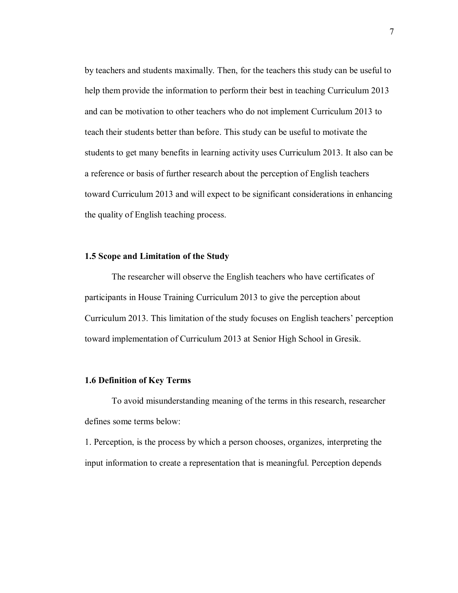by teachers and students maximally. Then, for the teachers this study can be useful to help them provide the information to perform their best in teaching Curriculum 2013 and can be motivation to other teachers who do not implement Curriculum 2013 to teach their students better than before. This study can be useful to motivate the students to get many benefits in learning activity uses Curriculum 2013. It also can be a reference or basis of further research about the perception of English teachers toward Curriculum 2013 and will expect to be significant considerations in enhancing the quality of English teaching process.

#### **1.5 Scope and Limitation of the Study**

The researcher will observe the English teachers who have certificates of participants in House Training Curriculum 2013 to give the perception about Curriculum 2013. This limitation of the study focuses on English teachers' perception toward implementation of Curriculum 2013 at Senior High School in Gresik.

### **1.6 Definition of Key Terms**

To avoid misunderstanding meaning of the terms in this research, researcher defines some terms below:

1. Perception, is the process by which a person chooses, organizes, interpreting the input information to create a representation that is meaningful. Perception depends